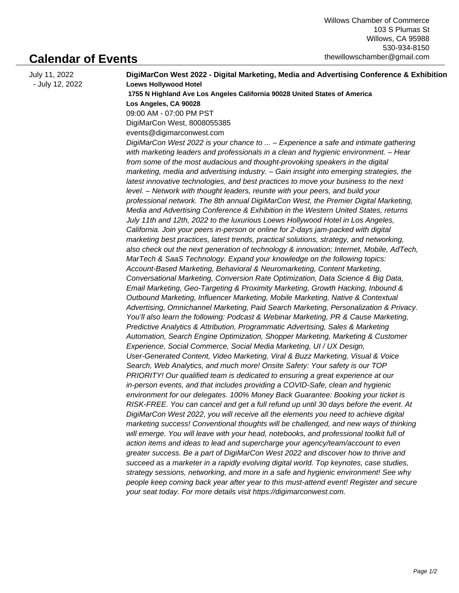## **Calendar of Events**

| July 11, 2022   | DigiMarCon West 2022 - Digital Marketing, Media and Advertising Conference & Exhibition  |
|-----------------|------------------------------------------------------------------------------------------|
| - July 12, 2022 | <b>Loews Hollywood Hotel</b>                                                             |
|                 | 1755 N Highland Ave Los Angeles California 90028 United States of America                |
|                 | Los Angeles, CA 90028                                                                    |
|                 | 09:00 AM - 07:00 PM PST                                                                  |
|                 | DigiMarCon West, 8008055385                                                              |
|                 | events@digimarconwest.com                                                                |
|                 | DigiMarCon West 2022 is your chance to  - Experience a safe and intimate gathering       |
|                 | with marketing leaders and professionals in a clean and hygienic environment. - Hear     |
|                 | from some of the most audacious and thought-provoking speakers in the digital            |
|                 | marketing, media and advertising industry. - Gain insight into emerging strategies, the  |
|                 | latest innovative technologies, and best practices to move your business to the next     |
|                 | level. - Network with thought leaders, reunite with your peers, and build your           |
|                 | professional network. The 8th annual DigiMarCon West, the Premier Digital Marketing,     |
|                 | Media and Advertising Conference & Exhibition in the Western United States, returns      |
|                 | July 11th and 12th, 2022 to the luxurious Loews Hollywood Hotel in Los Angeles,          |
|                 | California. Join your peers in-person or online for 2-days jam-packed with digital       |
|                 | marketing best practices, latest trends, practical solutions, strategy, and networking,  |
|                 | also check out the next generation of technology & innovation; Internet, Mobile, AdTech, |
|                 | MarTech & SaaS Technology. Expand your knowledge on the following topics:                |
|                 | Account-Based Marketing, Behavioral & Neuromarketing, Content Marketing,                 |
|                 | Conversational Marketing, Conversion Rate Optimization, Data Science & Big Data,         |
|                 | Email Marketing, Geo-Targeting & Proximity Marketing, Growth Hacking, Inbound &          |
|                 | Outbound Marketing, Influencer Marketing, Mobile Marketing, Native & Contextual          |
|                 | Advertising, Omnichannel Marketing, Paid Search Marketing, Personalization & Privacy.    |
|                 | You'll also learn the following: Podcast & Webinar Marketing, PR & Cause Marketing,      |
|                 | Predictive Analytics & Attribution, Programmatic Advertising, Sales & Marketing          |
|                 | Automation, Search Engine Optimization, Shopper Marketing, Marketing & Customer          |
|                 | Experience, Social Commerce, Social Media Marketing, UI / UX Design,                     |
|                 | User-Generated Content, Video Marketing, Viral & Buzz Marketing, Visual & Voice          |
|                 | Search, Web Analytics, and much more! Onsite Safety: Your safety is our TOP              |
|                 | PRIORITY! Our qualified team is dedicated to ensuring a great experience at our          |
|                 | in-person events, and that includes providing a COVID-Safe, clean and hygienic           |
|                 | environment for our delegates. 100% Money Back Guarantee: Booking your ticket is         |
|                 | RISK-FREE. You can cancel and get a full refund up until 30 days before the event. At    |
|                 | DigiMarCon West 2022, you will receive all the elements you need to achieve digital      |
|                 | marketing success! Conventional thoughts will be challenged, and new ways of thinking    |
|                 | will emerge. You will leave with your head, notebooks, and professional toolkit full of  |
|                 | action items and ideas to lead and supercharge your agency/team/account to even          |
|                 | greater success. Be a part of DigiMarCon West 2022 and discover how to thrive and        |
|                 | succeed as a marketer in a rapidly evolving digital world. Top keynotes, case studies,   |
|                 | strategy sessions, networking, and more in a safe and hygienic environment! See why      |
|                 | people keep coming back year after year to this must-attend event! Register and secure   |
|                 | your seat today. For more details visit https://digimarconwest.com.                      |